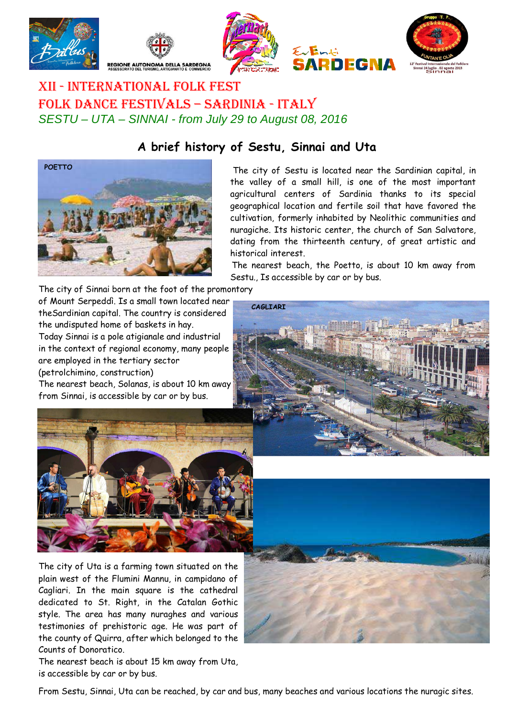

l







## XII - INTERNATIONAL FOLK FEST FOLK DANCE FESTIVALS – SARDINIA - ITALY SESTU – UTA – SINNAI - from July 29 to August 08, 2016

## **A brief history of Sestu, Sinnai and Uta**



 The city of Sestu is located near the Sardinian capital, in the valley of a small hill, is one of the most important agricultural centers of Sardinia thanks to its special geographical location and fertile soil that have favored the cultivation, formerly inhabited by Neolithic communities and nuragiche. Its historic center, the church of San Salvatore, dating from the thirteenth century, of great artistic and historical interest.

**INFGN** 

 The nearest beach, the Poetto, is about 10 km away from Sestu., Is accessible by car or by bus.

The city of Sinnai born at the foot of the promontory of Mount Serpeddì. Is a small town located near theSardinian capital. The country is considered the undisputed home of baskets in hay. Today Sinnai is a pole atigianale and industrial in the context of regional economy, many people are employed in the tertiary sector (petrolchimino, construction)

The nearest beach, Solanas, is about 10 km away from Sinnai, is accessible by car or by bus.





The city of Uta is a farming town situated on the plain west of the Flumini Mannu, in campidano of Cagliari. In the main square is the cathedral dedicated to St. Right, in the Catalan Gothic style. The area has many nuraghes and various testimonies of prehistoric age. He was part of the county of Quirra, after which belonged to the Counts of Donoratico.

The nearest beach is about 15 km away from Uta, is accessible by car or by bus.



From Sestu, Sinnai, Uta can be reached, by car and bus, many beaches and various locations the nuragic sites.